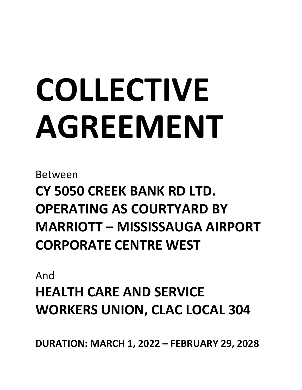# **COLLECTIVE AGREEMENT**

Between

**CY 5050 CREEK BANK RD LTD. OPERATING AS COURTYARD BY MARRIOTT – MISSISSAUGA AIRPORT CORPORATE CENTRE WEST**

And

**HEALTH CARE AND SERVICE WORKERS UNION, CLAC LOCAL 304**

**DURATION: MARCH 1, 2022 – FEBRUARY 29, 2028**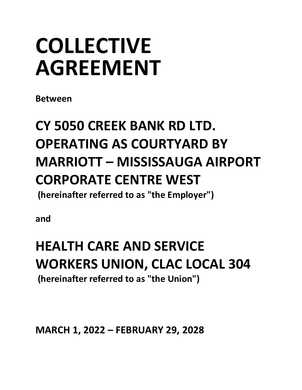## **COLLECTIVE AGREEMENT**

**Between**

### **CY 5050 CREEK BANK RD LTD. OPERATING AS COURTYARD BY MARRIOTT – MISSISSAUGA AIRPORT CORPORATE CENTRE WEST**

**(hereinafter referred to as "the Employer")**

**and**

### **HEALTH CARE AND SERVICE WORKERS UNION, CLAC LOCAL 304 (hereinafter referred to as "the Union")**

**MARCH 1, 2022 – FEBRUARY 29, 2028**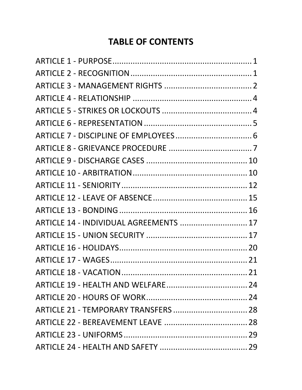#### **TABLE OF CONTENTS**

| ARTICLE 14 - INDIVIDUAL AGREEMENTS  17 |  |
|----------------------------------------|--|
|                                        |  |
|                                        |  |
|                                        |  |
|                                        |  |
|                                        |  |
|                                        |  |
| ARTICLE 21 - TEMPORARY TRANSFERS  28   |  |
|                                        |  |
|                                        |  |
|                                        |  |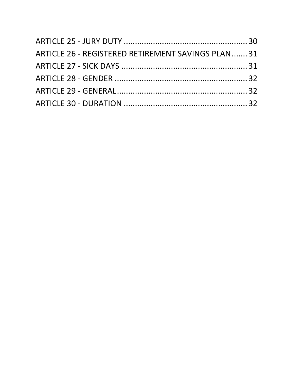| ARTICLE 26 - REGISTERED RETIREMENT SAVINGS PLAN  31 |  |
|-----------------------------------------------------|--|
|                                                     |  |
|                                                     |  |
|                                                     |  |
|                                                     |  |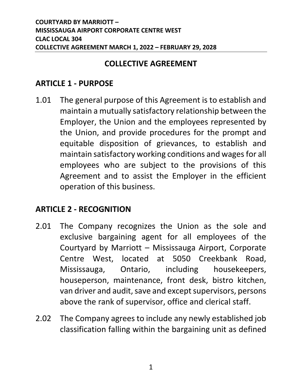#### **COLLECTIVE AGREEMENT**

#### <span id="page-4-0"></span>**ARTICLE 1 - PURPOSE**

1.01 The general purpose of this Agreement is to establish and maintain a mutually satisfactory relationship between the Employer, the Union and the employees represented by the Union, and provide procedures for the prompt and equitable disposition of grievances, to establish and maintain satisfactory working conditions and wages for all employees who are subject to the provisions of this Agreement and to assist the Employer in the efficient operation of this business.

#### <span id="page-4-1"></span>**ARTICLE 2 - RECOGNITION**

- 2.01 The Company recognizes the Union as the sole and exclusive bargaining agent for all employees of the Courtyard by Marriott – Mississauga Airport, Corporate Centre West, located at 5050 Creekbank Road, Mississauga, Ontario, including housekeepers, houseperson, maintenance, front desk, bistro kitchen, van driver and audit, save and except supervisors, persons above the rank of supervisor, office and clerical staff.
- 2.02 The Company agrees to include any newly established job classification falling within the bargaining unit as defined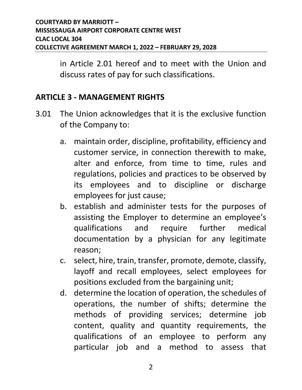in Article 2.01 hereof and to meet with the Union and discuss rates of pay for such classifications.

#### <span id="page-5-0"></span>**ARTICLE 3 - MANAGEMENT RIGHTS**

- 3.01 The Union acknowledges that it is the exclusive function of the Company to:
	- a. maintain order, discipline, profitability, efficiency and customer service, in connection therewith to make, alter and enforce, from time to time, rules and regulations, policies and practices to be observed by its employees and to discipline or discharge employees for just cause;
	- b. establish and administer tests for the purposes of assisting the Employer to determine an employee's qualifications and require further medical documentation by a physician for any legitimate reason;
	- c. select, hire, train, transfer, promote, demote, classify, layoff and recall employees, select employees for positions excluded from the bargaining unit;
	- d. determine the location of operation, the schedules of operations, the number of shifts; determine the methods of providing services; determine job content, quality and quantity requirements, the qualifications of an employee to perform any particular job and a method to assess that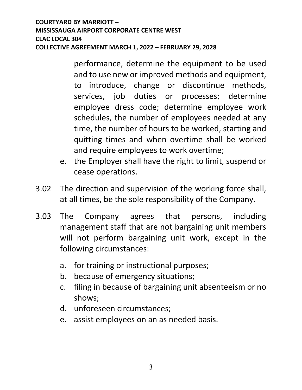performance, determine the equipment to be used and to use new or improved methods and equipment, to introduce, change or discontinue methods, services, job duties or processes; determine employee dress code; determine employee work schedules, the number of employees needed at any time, the number of hours to be worked, starting and quitting times and when overtime shall be worked and require employees to work overtime;

- e. the Employer shall have the right to limit, suspend or cease operations.
- 3.02 The direction and supervision of the working force shall, at all times, be the sole responsibility of the Company.
- 3.03 The Company agrees that persons, including management staff that are not bargaining unit members will not perform bargaining unit work, except in the following circumstances:
	- a. for training or instructional purposes;
	- b. because of emergency situations;
	- c. filing in because of bargaining unit absenteeism or no shows;
	- d. unforeseen circumstances;
	- e. assist employees on an as needed basis.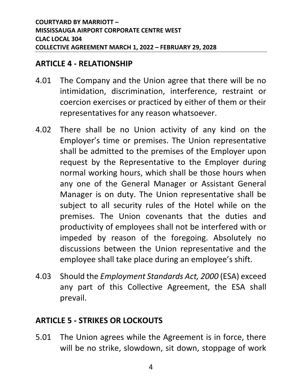#### <span id="page-7-0"></span>**ARTICLE 4 - RELATIONSHIP**

- 4.01 The Company and the Union agree that there will be no intimidation, discrimination, interference, restraint or coercion exercises or practiced by either of them or their representatives for any reason whatsoever.
- 4.02 There shall be no Union activity of any kind on the Employer's time or premises. The Union representative shall be admitted to the premises of the Employer upon request by the Representative to the Employer during normal working hours, which shall be those hours when any one of the General Manager or Assistant General Manager is on duty. The Union representative shall be subject to all security rules of the Hotel while on the premises. The Union covenants that the duties and productivity of employees shall not be interfered with or impeded by reason of the foregoing. Absolutely no discussions between the Union representative and the employee shall take place during an employee's shift.
- 4.03 Should the *Employment Standards Act, 2000* (ESA) exceed any part of this Collective Agreement, the ESA shall prevail.

#### <span id="page-7-1"></span>**ARTICLE 5 - STRIKES OR LOCKOUTS**

5.01 The Union agrees while the Agreement is in force, there will be no strike, slowdown, sit down, stoppage of work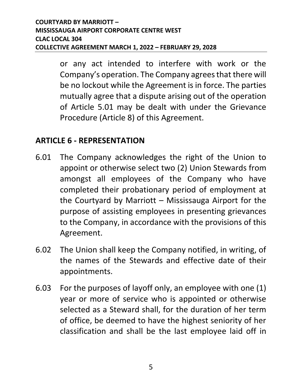or any act intended to interfere with work or the Company's operation. The Company agrees that there will be no lockout while the Agreement is in force. The parties mutually agree that a dispute arising out of the operation of Article 5.01 may be dealt with under the Grievance Procedure (Article 8) of this Agreement.

#### <span id="page-8-0"></span>**ARTICLE 6 - REPRESENTATION**

- 6.01 The Company acknowledges the right of the Union to appoint or otherwise select two (2) Union Stewards from amongst all employees of the Company who have completed their probationary period of employment at the Courtyard by Marriott – Mississauga Airport for the purpose of assisting employees in presenting grievances to the Company, in accordance with the provisions of this Agreement.
- 6.02 The Union shall keep the Company notified, in writing, of the names of the Stewards and effective date of their appointments.
- 6.03 For the purposes of layoff only, an employee with one (1) year or more of service who is appointed or otherwise selected as a Steward shall, for the duration of her term of office, be deemed to have the highest seniority of her classification and shall be the last employee laid off in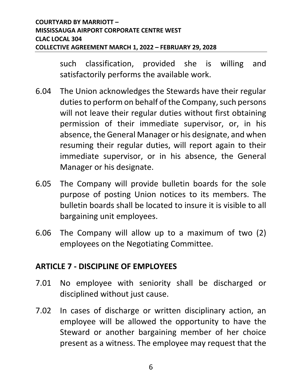such classification, provided she is willing and satisfactorily performs the available work.

- 6.04 The Union acknowledges the Stewards have their regular duties to perform on behalf of the Company, such persons will not leave their regular duties without first obtaining permission of their immediate supervisor, or, in his absence, the General Manager or his designate, and when resuming their regular duties, will report again to their immediate supervisor, or in his absence, the General Manager or his designate.
- 6.05 The Company will provide bulletin boards for the sole purpose of posting Union notices to its members. The bulletin boards shall be located to insure it is visible to all bargaining unit employees.
- 6.06 The Company will allow up to a maximum of two (2) employees on the Negotiating Committee.

#### <span id="page-9-0"></span>**ARTICLE 7 - DISCIPLINE OF EMPLOYEES**

- 7.01 No employee with seniority shall be discharged or disciplined without just cause.
- 7.02 In cases of discharge or written disciplinary action, an employee will be allowed the opportunity to have the Steward or another bargaining member of her choice present as a witness. The employee may request that the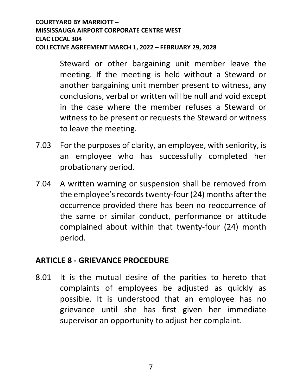Steward or other bargaining unit member leave the meeting. If the meeting is held without a Steward or another bargaining unit member present to witness, any conclusions, verbal or written will be null and void except in the case where the member refuses a Steward or witness to be present or requests the Steward or witness to leave the meeting.

- 7.03 For the purposes of clarity, an employee, with seniority, is an employee who has successfully completed her probationary period.
- 7.04 A written warning or suspension shall be removed from the employee's records twenty-four (24) months after the occurrence provided there has been no reoccurrence of the same or similar conduct, performance or attitude complained about within that twenty-four (24) month period.

#### <span id="page-10-0"></span>**ARTICLE 8 - GRIEVANCE PROCEDURE**

8.01 It is the mutual desire of the parities to hereto that complaints of employees be adjusted as quickly as possible. It is understood that an employee has no grievance until she has first given her immediate supervisor an opportunity to adjust her complaint.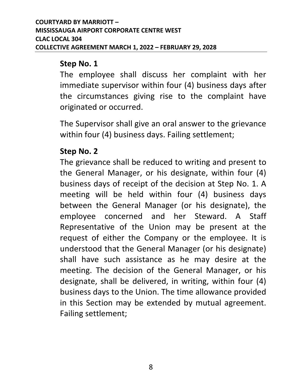#### **Step No. 1**

The employee shall discuss her complaint with her immediate supervisor within four (4) business days after the circumstances giving rise to the complaint have originated or occurred.

The Supervisor shall give an oral answer to the grievance within four (4) business days. Failing settlement;

#### **Step No. 2**

The grievance shall be reduced to writing and present to the General Manager, or his designate, within four (4) business days of receipt of the decision at Step No. 1. A meeting will be held within four (4) business days between the General Manager (or his designate), the employee concerned and her Steward. A Staff Representative of the Union may be present at the request of either the Company or the employee. It is understood that the General Manager (or his designate) shall have such assistance as he may desire at the meeting. The decision of the General Manager, or his designate, shall be delivered, in writing, within four (4) business days to the Union. The time allowance provided in this Section may be extended by mutual agreement. Failing settlement;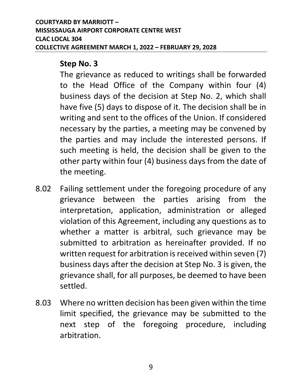#### **Step No. 3**

The grievance as reduced to writings shall be forwarded to the Head Office of the Company within four (4) business days of the decision at Step No. 2, which shall have five (5) days to dispose of it. The decision shall be in writing and sent to the offices of the Union. If considered necessary by the parties, a meeting may be convened by the parties and may include the interested persons. If such meeting is held, the decision shall be given to the other party within four (4) business days from the date of the meeting.

- 8.02 Failing settlement under the foregoing procedure of any grievance between the parties arising from the interpretation, application, administration or alleged violation of this Agreement, including any questions as to whether a matter is arbitral, such grievance may be submitted to arbitration as hereinafter provided. If no written request for arbitration is received within seven (7) business days after the decision at Step No. 3 is given, the grievance shall, for all purposes, be deemed to have been settled.
- 8.03 Where no written decision has been given within the time limit specified, the grievance may be submitted to the next step of the foregoing procedure, including arbitration.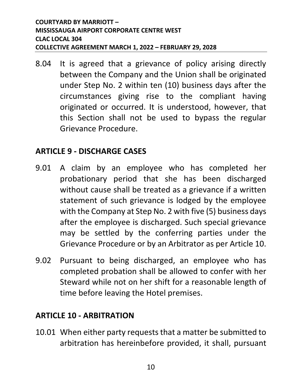8.04 It is agreed that a grievance of policy arising directly between the Company and the Union shall be originated under Step No. 2 within ten (10) business days after the circumstances giving rise to the compliant having originated or occurred. It is understood, however, that this Section shall not be used to bypass the regular Grievance Procedure.

#### <span id="page-13-0"></span>**ARTICLE 9 - DISCHARGE CASES**

- 9.01 A claim by an employee who has completed her probationary period that she has been discharged without cause shall be treated as a grievance if a written statement of such grievance is lodged by the employee with the Company at Step No. 2 with five (5) business days after the employee is discharged. Such special grievance may be settled by the conferring parties under the Grievance Procedure or by an Arbitrator as per Article 10.
- 9.02 Pursuant to being discharged, an employee who has completed probation shall be allowed to confer with her Steward while not on her shift for a reasonable length of time before leaving the Hotel premises.

#### <span id="page-13-1"></span>**ARTICLE 10 - ARBITRATION**

10.01 When either party requests that a matter be submitted to arbitration has hereinbefore provided, it shall, pursuant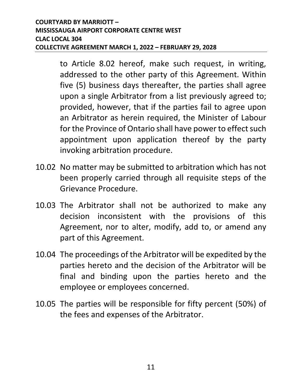to Article 8.02 hereof, make such request, in writing, addressed to the other party of this Agreement. Within five (5) business days thereafter, the parties shall agree upon a single Arbitrator from a list previously agreed to; provided, however, that if the parties fail to agree upon an Arbitrator as herein required, the Minister of Labour for the Province of Ontario shall have power to effect such appointment upon application thereof by the party invoking arbitration procedure.

- 10.02 No matter may be submitted to arbitration which has not been properly carried through all requisite steps of the Grievance Procedure.
- 10.03 The Arbitrator shall not be authorized to make any decision inconsistent with the provisions of this Agreement, nor to alter, modify, add to, or amend any part of this Agreement.
- 10.04 The proceedings of the Arbitrator will be expedited by the parties hereto and the decision of the Arbitrator will be final and binding upon the parties hereto and the employee or employees concerned.
- 10.05 The parties will be responsible for fifty percent (50%) of the fees and expenses of the Arbitrator.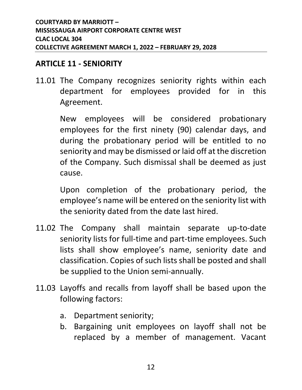#### <span id="page-15-0"></span>**ARTICLE 11 - SENIORITY**

11.01 The Company recognizes seniority rights within each department for employees provided for in this Agreement.

> New employees will be considered probationary employees for the first ninety (90) calendar days, and during the probationary period will be entitled to no seniority and may be dismissed or laid off at the discretion of the Company. Such dismissal shall be deemed as just cause.

> Upon completion of the probationary period, the employee's name will be entered on the seniority list with the seniority dated from the date last hired.

- 11.02 The Company shall maintain separate up-to-date seniority lists for full-time and part-time employees. Such lists shall show employee's name, seniority date and classification. Copies of such lists shall be posted and shall be supplied to the Union semi-annually.
- 11.03 Layoffs and recalls from layoff shall be based upon the following factors:
	- a. Department seniority;
	- b. Bargaining unit employees on layoff shall not be replaced by a member of management. Vacant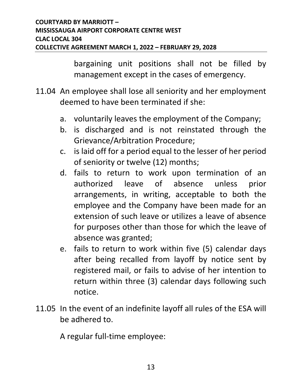bargaining unit positions shall not be filled by management except in the cases of emergency.

- 11.04 An employee shall lose all seniority and her employment deemed to have been terminated if she:
	- a. voluntarily leaves the employment of the Company;
	- b. is discharged and is not reinstated through the Grievance/Arbitration Procedure;
	- c. is laid off for a period equal to the lesser of her period of seniority or twelve (12) months;
	- d. fails to return to work upon termination of an authorized leave of absence unless prior arrangements, in writing, acceptable to both the employee and the Company have been made for an extension of such leave or utilizes a leave of absence for purposes other than those for which the leave of absence was granted;
	- e. fails to return to work within five (5) calendar days after being recalled from layoff by notice sent by registered mail, or fails to advise of her intention to return within three (3) calendar days following such notice.
- 11.05 In the event of an indefinite layoff all rules of the ESA will be adhered to.

A regular full-time employee: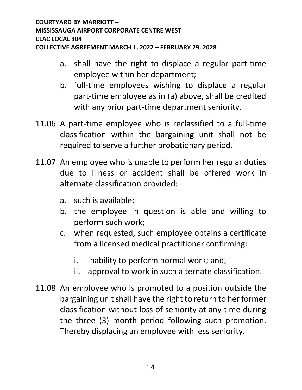- a. shall have the right to displace a regular part-time employee within her department;
- b. full-time employees wishing to displace a regular part-time employee as in (a) above, shall be credited with any prior part-time department seniority.
- 11.06 A part-time employee who is reclassified to a full-time classification within the bargaining unit shall not be required to serve a further probationary period.
- 11.07 An employee who is unable to perform her regular duties due to illness or accident shall be offered work in alternate classification provided:
	- a. such is available;
	- b. the employee in question is able and willing to perform such work;
	- c. when requested, such employee obtains a certificate from a licensed medical practitioner confirming:
		- i. inability to perform normal work; and,
		- ii. approval to work in such alternate classification.
- 11.08 An employee who is promoted to a position outside the bargaining unit shall have the right to return to her former classification without loss of seniority at any time during the three (3) month period following such promotion. Thereby displacing an employee with less seniority.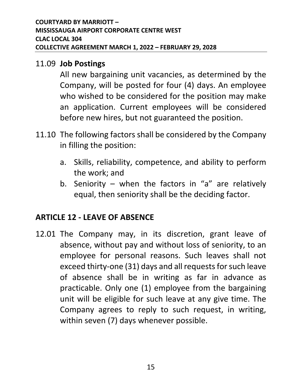#### 11.09 **Job Postings**

All new bargaining unit vacancies, as determined by the Company, will be posted for four (4) days. An employee who wished to be considered for the position may make an application. Current employees will be considered before new hires, but not guaranteed the position.

- 11.10 The following factors shall be considered by the Company in filling the position:
	- a. Skills, reliability, competence, and ability to perform the work; and
	- b. Seniority when the factors in "a" are relatively equal, then seniority shall be the deciding factor.

#### <span id="page-18-0"></span>**ARTICLE 12 - LEAVE OF ABSENCE**

12.01 The Company may, in its discretion, grant leave of absence, without pay and without loss of seniority, to an employee for personal reasons. Such leaves shall not exceed thirty-one (31) days and all requests for such leave of absence shall be in writing as far in advance as practicable. Only one (1) employee from the bargaining unit will be eligible for such leave at any give time. The Company agrees to reply to such request, in writing, within seven (7) days whenever possible.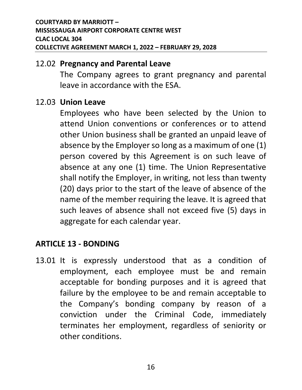#### 12.02 **Pregnancy and Parental Leave**

The Company agrees to grant pregnancy and parental leave in accordance with the ESA.

#### 12.03 **Union Leave**

Employees who have been selected by the Union to attend Union conventions or conferences or to attend other Union business shall be granted an unpaid leave of absence by the Employer so long as a maximum of one (1) person covered by this Agreement is on such leave of absence at any one (1) time. The Union Representative shall notify the Employer, in writing, not less than twenty (20) days prior to the start of the leave of absence of the name of the member requiring the leave. It is agreed that such leaves of absence shall not exceed five (5) days in aggregate for each calendar year.

#### <span id="page-19-0"></span>**ARTICLE 13 - BONDING**

13.01 It is expressly understood that as a condition of employment, each employee must be and remain acceptable for bonding purposes and it is agreed that failure by the employee to be and remain acceptable to the Company's bonding company by reason of a conviction under the Criminal Code, immediately terminates her employment, regardless of seniority or other conditions.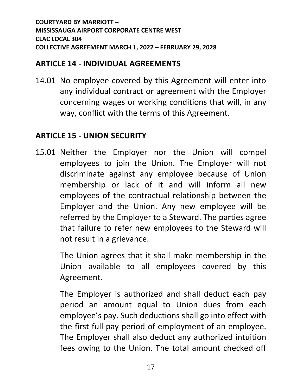#### <span id="page-20-0"></span>**ARTICLE 14 - INDIVIDUAL AGREEMENTS**

14.01 No employee covered by this Agreement will enter into any individual contract or agreement with the Employer concerning wages or working conditions that will, in any way, conflict with the terms of this Agreement.

#### <span id="page-20-1"></span>**ARTICLE 15 - UNION SECURITY**

15.01 Neither the Employer nor the Union will compel employees to join the Union. The Employer will not discriminate against any employee because of Union membership or lack of it and will inform all new employees of the contractual relationship between the Employer and the Union. Any new employee will be referred by the Employer to a Steward. The parties agree that failure to refer new employees to the Steward will not result in a grievance.

> The Union agrees that it shall make membership in the Union available to all employees covered by this Agreement.

> The Employer is authorized and shall deduct each pay period an amount equal to Union dues from each employee's pay. Such deductions shall go into effect with the first full pay period of employment of an employee. The Employer shall also deduct any authorized intuition fees owing to the Union. The total amount checked off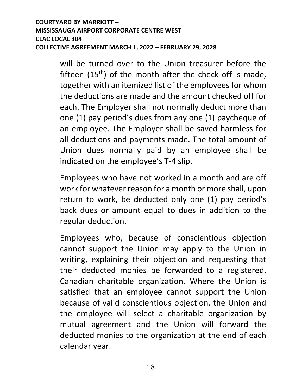will be turned over to the Union treasurer before the fifteen  $(15<sup>th</sup>)$  of the month after the check off is made, together with an itemized list of the employees for whom the deductions are made and the amount checked off for each. The Employer shall not normally deduct more than one (1) pay period's dues from any one (1) paycheque of an employee. The Employer shall be saved harmless for all deductions and payments made. The total amount of Union dues normally paid by an employee shall be indicated on the employee's T-4 slip.

Employees who have not worked in a month and are off work for whatever reason for a month or more shall, upon return to work, be deducted only one (1) pay period's back dues or amount equal to dues in addition to the regular deduction.

Employees who, because of conscientious objection cannot support the Union may apply to the Union in writing, explaining their objection and requesting that their deducted monies be forwarded to a registered, Canadian charitable organization. Where the Union is satisfied that an employee cannot support the Union because of valid conscientious objection, the Union and the employee will select a charitable organization by mutual agreement and the Union will forward the deducted monies to the organization at the end of each calendar year.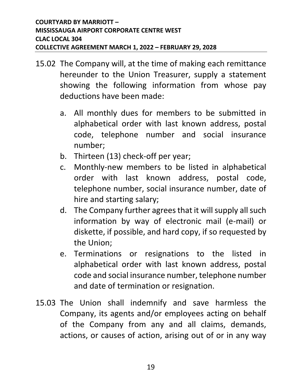- 15.02 The Company will, at the time of making each remittance hereunder to the Union Treasurer, supply a statement showing the following information from whose pay deductions have been made:
	- a. All monthly dues for members to be submitted in alphabetical order with last known address, postal code, telephone number and social insurance number;
	- b. Thirteen (13) check-off per year;
	- c. Monthly-new members to be listed in alphabetical order with last known address, postal code, telephone number, social insurance number, date of hire and starting salary;
	- d. The Company further agrees that it will supply all such information by way of electronic mail (e-mail) or diskette, if possible, and hard copy, if so requested by the Union;
	- e. Terminations or resignations to the listed in alphabetical order with last known address, postal code and social insurance number, telephone number and date of termination or resignation.
- 15.03 The Union shall indemnify and save harmless the Company, its agents and/or employees acting on behalf of the Company from any and all claims, demands, actions, or causes of action, arising out of or in any way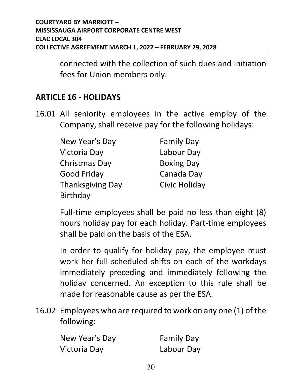connected with the collection of such dues and initiation fees for Union members only.

#### <span id="page-23-0"></span>**ARTICLE 16 - HOLIDAYS**

16.01 All seniority employees in the active employ of the Company, shall receive pay for the following holidays:

| New Year's Day          | <b>Family Day</b> |
|-------------------------|-------------------|
| Victoria Day            | Labour Day        |
| Christmas Day           | <b>Boxing Day</b> |
| Good Friday             | Canada Day        |
| <b>Thanksgiving Day</b> | Civic Holiday     |
| <b>Birthday</b>         |                   |

Full-time employees shall be paid no less than eight (8) hours holiday pay for each holiday. Part-time employees shall be paid on the basis of the ESA.

In order to qualify for holiday pay, the employee must work her full scheduled shifts on each of the workdays immediately preceding and immediately following the holiday concerned. An exception to this rule shall be made for reasonable cause as per the ESA.

16.02 Employees who are required to work on any one (1) of the following:

| New Year's Day | <b>Family Day</b> |
|----------------|-------------------|
| Victoria Day   | Labour Day        |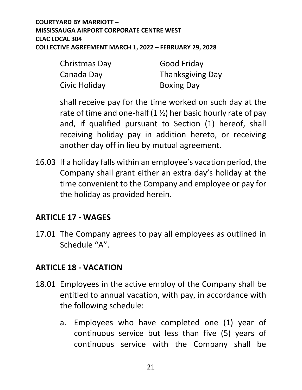| Christmas Day | <b>Good Friday</b>      |
|---------------|-------------------------|
| Canada Day    | <b>Thanksgiving Day</b> |
| Civic Holiday | <b>Boxing Day</b>       |

shall receive pay for the time worked on such day at the rate of time and one-half  $(1 \frac{1}{2})$  her basic hourly rate of pay and, if qualified pursuant to Section (1) hereof, shall receiving holiday pay in addition hereto, or receiving another day off in lieu by mutual agreement.

16.03 If a holiday falls within an employee's vacation period, the Company shall grant either an extra day's holiday at the time convenient to the Company and employee or pay for the holiday as provided herein.

#### <span id="page-24-0"></span>**ARTICLE 17 - WAGES**

17.01 The Company agrees to pay all employees as outlined in Schedule "A".

#### <span id="page-24-1"></span>**ARTICLE 18 - VACATION**

- 18.01 Employees in the active employ of the Company shall be entitled to annual vacation, with pay, in accordance with the following schedule:
	- a. Employees who have completed one (1) year of continuous service but less than five (5) years of continuous service with the Company shall be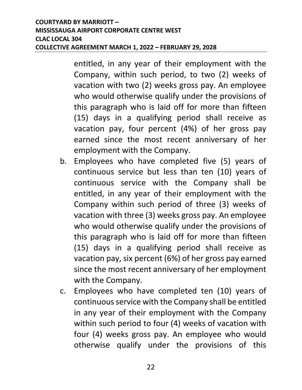entitled, in any year of their employment with the Company, within such period, to two (2) weeks of vacation with two (2) weeks gross pay. An employee who would otherwise qualify under the provisions of this paragraph who is laid off for more than fifteen (15) days in a qualifying period shall receive as vacation pay, four percent (4%) of her gross pay earned since the most recent anniversary of her employment with the Company.

- b. Employees who have completed five (5) years of continuous service but less than ten (10) years of continuous service with the Company shall be entitled, in any year of their employment with the Company within such period of three (3) weeks of vacation with three (3) weeks gross pay. An employee who would otherwise qualify under the provisions of this paragraph who is laid off for more than fifteen (15) days in a qualifying period shall receive as vacation pay, six percent (6%) of her gross pay earned since the most recent anniversary of her employment with the Company.
- c. Employees who have completed ten (10) years of continuous service with the Company shall be entitled in any year of their employment with the Company within such period to four (4) weeks of vacation with four (4) weeks gross pay. An employee who would otherwise qualify under the provisions of this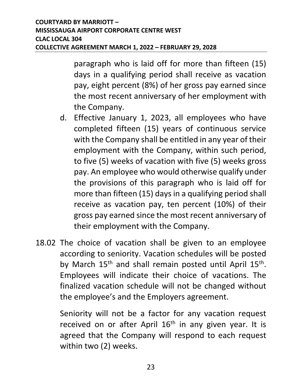paragraph who is laid off for more than fifteen (15) days in a qualifying period shall receive as vacation pay, eight percent (8%) of her gross pay earned since the most recent anniversary of her employment with the Company.

- d. Effective January 1, 2023, all employees who have completed fifteen (15) years of continuous service with the Company shall be entitled in any year of their employment with the Company, within such period, to five (5) weeks of vacation with five (5) weeks gross pay. An employee who would otherwise qualify under the provisions of this paragraph who is laid off for more than fifteen (15) days in a qualifying period shall receive as vacation pay, ten percent (10%) of their gross pay earned since the most recent anniversary of their employment with the Company.
- 18.02 The choice of vacation shall be given to an employee according to seniority. Vacation schedules will be posted by March 15<sup>th</sup> and shall remain posted until April 15<sup>th</sup>. Employees will indicate their choice of vacations. The finalized vacation schedule will not be changed without the employee's and the Employers agreement.

Seniority will not be a factor for any vacation request received on or after April  $16<sup>th</sup>$  in any given year. It is agreed that the Company will respond to each request within two (2) weeks.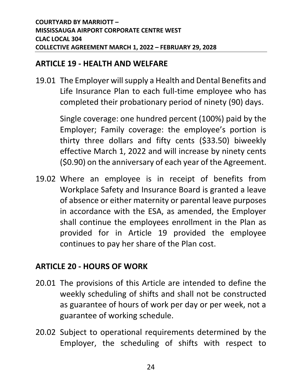#### <span id="page-27-0"></span>**ARTICLE 19 - HEALTH AND WELFARE**

19.01 The Employer will supply a Health and Dental Benefits and Life Insurance Plan to each full-time employee who has completed their probationary period of ninety (90) days.

> Single coverage: one hundred percent (100%) paid by the Employer; Family coverage: the employee's portion is thirty three dollars and fifty cents (\$33.50) biweekly effective March 1, 2022 and will increase by ninety cents (\$0.90) on the anniversary of each year of the Agreement.

19.02 Where an employee is in receipt of benefits from Workplace Safety and Insurance Board is granted a leave of absence or either maternity or parental leave purposes in accordance with the ESA, as amended, the Employer shall continue the employees enrollment in the Plan as provided for in Article 19 provided the employee continues to pay her share of the Plan cost.

#### <span id="page-27-1"></span>**ARTICLE 20 - HOURS OF WORK**

- 20.01 The provisions of this Article are intended to define the weekly scheduling of shifts and shall not be constructed as guarantee of hours of work per day or per week, not a guarantee of working schedule.
- 20.02 Subject to operational requirements determined by the Employer, the scheduling of shifts with respect to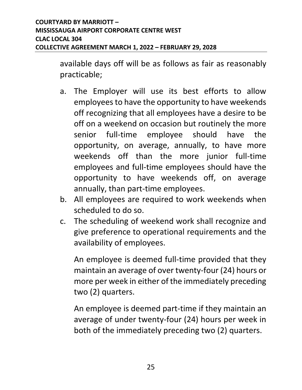available days off will be as follows as fair as reasonably practicable;

- a. The Employer will use its best efforts to allow employees to have the opportunity to have weekends off recognizing that all employees have a desire to be off on a weekend on occasion but routinely the more senior full-time employee should have the opportunity, on average, annually, to have more weekends off than the more junior full-time employees and full-time employees should have the opportunity to have weekends off, on average annually, than part-time employees.
- b. All employees are required to work weekends when scheduled to do so.
- c. The scheduling of weekend work shall recognize and give preference to operational requirements and the availability of employees.

An employee is deemed full-time provided that they maintain an average of over twenty-four (24) hours or more per week in either of the immediately preceding two (2) quarters.

An employee is deemed part-time if they maintain an average of under twenty-four (24) hours per week in both of the immediately preceding two (2) quarters.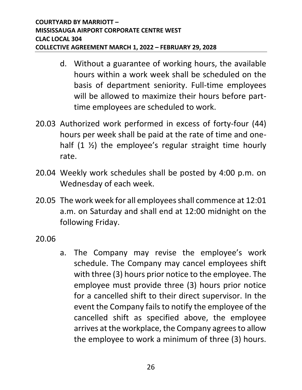- d. Without a guarantee of working hours, the available hours within a work week shall be scheduled on the basis of department seniority. Full-time employees will be allowed to maximize their hours before parttime employees are scheduled to work.
- 20.03 Authorized work performed in excess of forty-four (44) hours per week shall be paid at the rate of time and onehalf  $(1 \frac{1}{2})$  the employee's regular straight time hourly rate.
- 20.04 Weekly work schedules shall be posted by 4:00 p.m. on Wednesday of each week.
- 20.05 The work week for all employees shall commence at 12:01 a.m. on Saturday and shall end at 12:00 midnight on the following Friday.

20.06

a. The Company may revise the employee's work schedule. The Company may cancel employees shift with three (3) hours prior notice to the employee. The employee must provide three (3) hours prior notice for a cancelled shift to their direct supervisor. In the event the Company fails to notify the employee of the cancelled shift as specified above, the employee arrives at the workplace, the Company agrees to allow the employee to work a minimum of three (3) hours.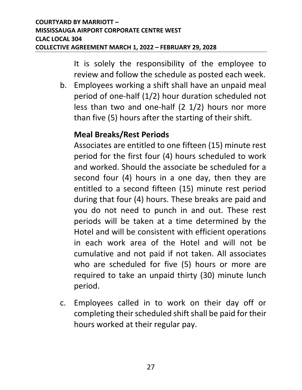It is solely the responsibility of the employee to review and follow the schedule as posted each week.

b. Employees working a shift shall have an unpaid meal period of one-half (1/2) hour duration scheduled not less than two and one-half (2 1/2) hours nor more than five (5) hours after the starting of their shift.

#### **Meal Breaks/Rest Periods**

Associates are entitled to one fifteen (15) minute rest period for the first four (4) hours scheduled to work and worked. Should the associate be scheduled for a second four (4) hours in a one day, then they are entitled to a second fifteen (15) minute rest period during that four (4) hours. These breaks are paid and you do not need to punch in and out. These rest periods will be taken at a time determined by the Hotel and will be consistent with efficient operations in each work area of the Hotel and will not be cumulative and not paid if not taken. All associates who are scheduled for five (5) hours or more are required to take an unpaid thirty (30) minute lunch period.

c. Employees called in to work on their day off or completing their scheduled shift shall be paid for their hours worked at their regular pay.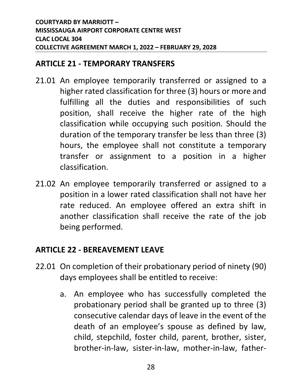#### <span id="page-31-0"></span>**ARTICLE 21 - TEMPORARY TRANSFERS**

- 21.01 An employee temporarily transferred or assigned to a higher rated classification for three (3) hours or more and fulfilling all the duties and responsibilities of such position, shall receive the higher rate of the high classification while occupying such position. Should the duration of the temporary transfer be less than three (3) hours, the employee shall not constitute a temporary transfer or assignment to a position in a higher classification.
- 21.02 An employee temporarily transferred or assigned to a position in a lower rated classification shall not have her rate reduced. An employee offered an extra shift in another classification shall receive the rate of the job being performed.

#### <span id="page-31-1"></span>**ARTICLE 22 - BEREAVEMENT LEAVE**

- 22.01 On completion of their probationary period of ninety (90) days employees shall be entitled to receive:
	- a. An employee who has successfully completed the probationary period shall be granted up to three (3) consecutive calendar days of leave in the event of the death of an employee's spouse as defined by law, child, stepchild, foster child, parent, brother, sister, brother-in-law, sister-in-law, mother-in-law, father-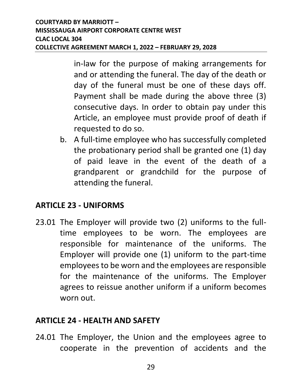in-law for the purpose of making arrangements for and or attending the funeral. The day of the death or day of the funeral must be one of these days off. Payment shall be made during the above three (3) consecutive days. In order to obtain pay under this Article, an employee must provide proof of death if requested to do so.

b. A full-time employee who has successfully completed the probationary period shall be granted one (1) day of paid leave in the event of the death of a grandparent or grandchild for the purpose of attending the funeral.

#### <span id="page-32-0"></span>**ARTICLE 23 - UNIFORMS**

23.01 The Employer will provide two (2) uniforms to the fulltime employees to be worn. The employees are responsible for maintenance of the uniforms. The Employer will provide one (1) uniform to the part-time employees to be worn and the employees are responsible for the maintenance of the uniforms. The Employer agrees to reissue another uniform if a uniform becomes worn out.

#### <span id="page-32-1"></span>**ARTICLE 24 - HEALTH AND SAFETY**

24.01 The Employer, the Union and the employees agree to cooperate in the prevention of accidents and the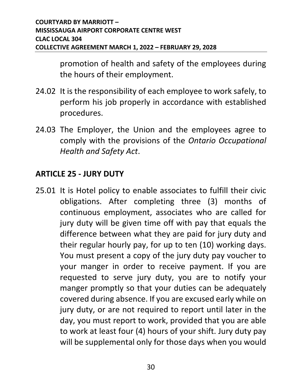promotion of health and safety of the employees during the hours of their employment.

- 24.02 It is the responsibility of each employee to work safely, to perform his job properly in accordance with established procedures.
- 24.03 The Employer, the Union and the employees agree to comply with the provisions of the *Ontario Occupational Health and Safety Act*.

#### <span id="page-33-0"></span>**ARTICLE 25 - JURY DUTY**

25.01 It is Hotel policy to enable associates to fulfill their civic obligations. After completing three (3) months of continuous employment, associates who are called for jury duty will be given time off with pay that equals the difference between what they are paid for jury duty and their regular hourly pay, for up to ten (10) working days. You must present a copy of the jury duty pay voucher to your manger in order to receive payment. If you are requested to serve jury duty, you are to notify your manger promptly so that your duties can be adequately covered during absence. If you are excused early while on jury duty, or are not required to report until later in the day, you must report to work, provided that you are able to work at least four (4) hours of your shift. Jury duty pay will be supplemental only for those days when you would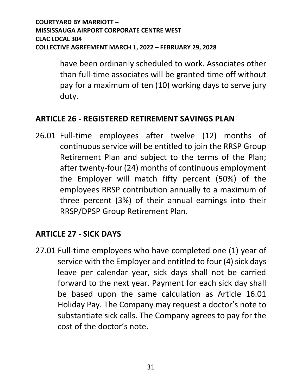have been ordinarily scheduled to work. Associates other than full-time associates will be granted time off without pay for a maximum of ten (10) working days to serve jury duty.

#### <span id="page-34-0"></span>**ARTICLE 26 - REGISTERED RETIREMENT SAVINGS PLAN**

26.01 Full-time employees after twelve (12) months of continuous service will be entitled to join the RRSP Group Retirement Plan and subject to the terms of the Plan; after twenty-four (24) months of continuous employment the Employer will match fifty percent (50%) of the employees RRSP contribution annually to a maximum of three percent (3%) of their annual earnings into their RRSP/DPSP Group Retirement Plan.

#### <span id="page-34-1"></span>**ARTICLE 27 - SICK DAYS**

27.01 Full-time employees who have completed one (1) year of service with the Employer and entitled to four (4) sick days leave per calendar year, sick days shall not be carried forward to the next year. Payment for each sick day shall be based upon the same calculation as Article 16.01 Holiday Pay. The Company may request a doctor's note to substantiate sick calls. The Company agrees to pay for the cost of the doctor's note.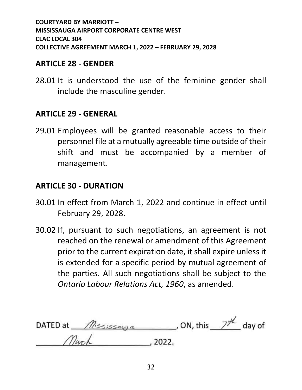#### <span id="page-35-0"></span>**ARTICLE 28 - GENDER**

28.01 It is understood the use of the feminine gender shall include the masculine gender.

#### <span id="page-35-1"></span>**ARTICLE 29 - GENERAL**

29.01 Employees will be granted reasonable access to their personnel file at a mutually agreeable time outside of their shift and must be accompanied by a member of management.

#### <span id="page-35-2"></span>**ARTICLE 30 - DURATION**

- 30.01 In effect from March 1, 2022 and continue in effect until February 29, 2028.
- 30.02 If, pursuant to such negotiations, an agreement is not reached on the renewal or amendment of this Agreement prior to the current expiration date, it shall expire unless it is extended for a specific period by mutual agreement of the parties. All such negotiations shall be subject to the *Ontario Labour Relations Act, 1960*, as amended.

DATED at  $\sqrt{M}$  is  $\frac{1}{2}$   $\frac{1}{2}$   $\frac{1}{2}$  day of  $.2022.$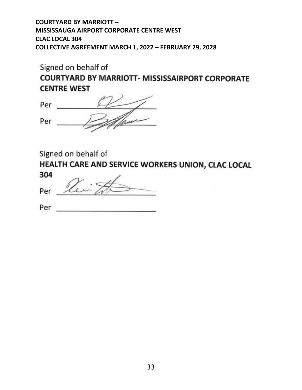Signed on behalf of **COURTYARD BY MARRIOTT- MISSISSAIRPORT CORPORATE CENTRE WEST** 

Person Per

Signed on behalf of

HEALTH CARE AND SERVICE WORKERS UNION, CLAC LOCAL 304

Per

Per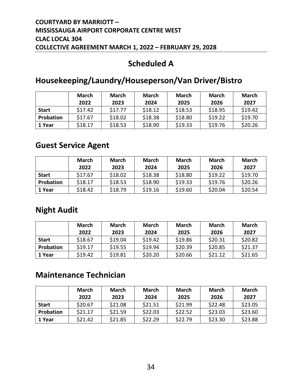#### **Scheduled A**

#### **Housekeeping/Laundry/Houseperson/Van Driver/Bistro**

|              | <b>March</b><br>2022 | <b>March</b><br>2023 | <b>March</b><br>2024 | March<br>2025 | <b>March</b><br>2026 | <b>March</b><br>2027 |
|--------------|----------------------|----------------------|----------------------|---------------|----------------------|----------------------|
| <b>Start</b> | \$17.42              | \$17.77              | \$18.12              | \$18.53       | \$18.95              | \$19.42              |
| Probation    | \$17.67              | \$18.02              | \$18.38              | \$18.80       | \$19.22              | \$19.70              |
| 1 Year       | \$18.17              | \$18.53              | \$18.90              | \$19.33       | \$19.76              | \$20.26              |

#### **Guest Service Agent**

|              | <b>March</b><br>2022 | March<br>2023 | <b>March</b><br>2024 | March<br>2025 | March<br>2026 | <b>March</b><br>2027 |
|--------------|----------------------|---------------|----------------------|---------------|---------------|----------------------|
| <b>Start</b> | \$17.67              | \$18.02       | \$18.38              | \$18.80       | \$19.22       | \$19.70              |
| Probation    | \$18.17              | \$18.53       | \$18.90              | \$19.33       | \$19.76       | \$20.26              |
| 1 Year       | \$18.42              | \$18.79       | \$19.16              | \$19.60       | \$20.04       | \$20.54              |

#### **Night Audit**

|              | <b>March</b><br>2022 | <b>March</b><br>2023 | <b>March</b><br>2024 | <b>March</b><br>2025 | March<br>2026 | <b>March</b><br>2027 |
|--------------|----------------------|----------------------|----------------------|----------------------|---------------|----------------------|
| <b>Start</b> | \$18.67              | \$19.04              | \$19.42              | \$19.86              | \$20.31       | \$20.82              |
| Probation    | \$19.17              | \$19.55              | \$19.94              | \$20.39              | \$20.85       | \$21.37              |
| 1 Year       | \$19.42              | \$19.81              | \$20.20              | \$20.66              | \$21.12       | \$21.65              |

#### **Maintenance Technician**

|              | March   | March   | <b>March</b> | March   | <b>March</b> | <b>March</b> |
|--------------|---------|---------|--------------|---------|--------------|--------------|
|              | 2022    | 2023    | 2024         | 2025    | 2026         | 2027         |
| <b>Start</b> | \$20.67 | \$21.08 | \$21.51      | \$21.99 | \$22.48      | \$23.05      |
| Probation    | \$21.17 | \$21.59 | \$22.03      | \$22.52 | \$23.03      | \$23.60      |
| 1 Year       | \$21.42 | \$21.85 | \$22.29      | \$22.79 | \$23.30      | \$23.88      |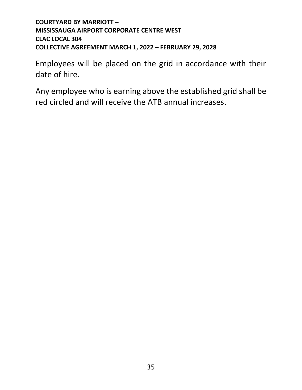Employees will be placed on the grid in accordance with their date of hire.

Any employee who is earning above the established grid shall be red circled and will receive the ATB annual increases.